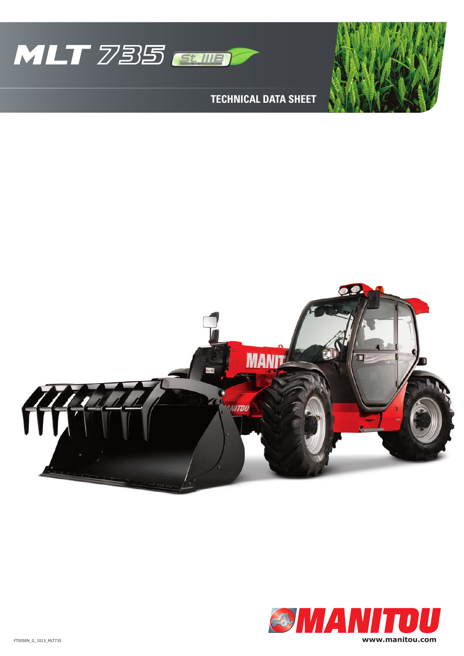

**Technical data sheet**